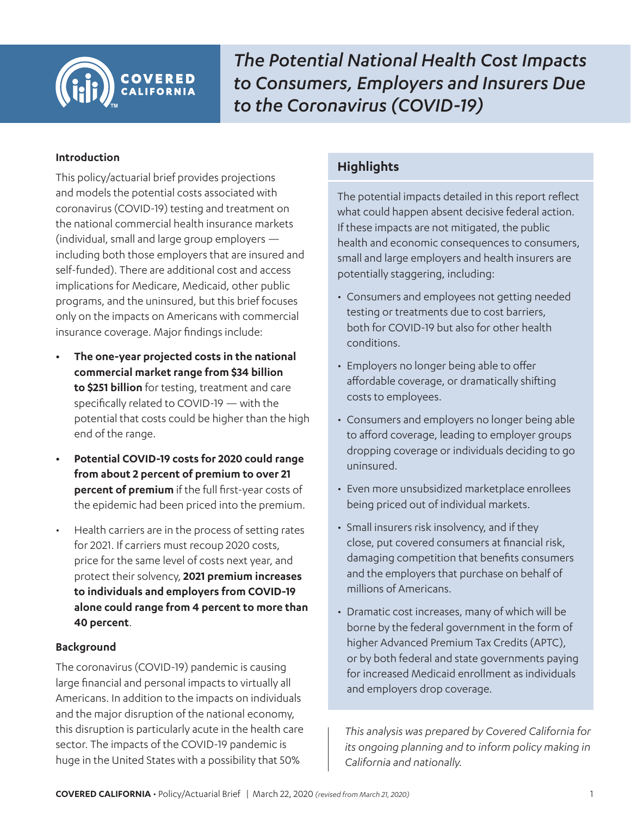#### **Introduction**

This policy/actuarial brief provides projections and models the potential costs associated with coronavirus (COVID-19) testing and treatment on the national commercial health insurance markets (individual, small and large group employers including both those employers that are insured and self-funded). There are additional cost and access implications for Medicare, Medicaid, other public programs, and the uninsured, but this brief focuses only on the impacts on Americans with commercial insurance coverage. Major findings include:

- **• The one-year projected costs in the national commercial market range from \$34 billion to \$251 billion** for testing, treatment and care specifically related to COVID-19 — with the potential that costs could be higher than the high end of the range.
- **• Potential COVID-19 costs for 2020 could range from about 2 percent of premium to over 21 percent of premium** if the full first-year costs of the epidemic had been priced into the premium.
- Health carriers are in the process of setting rates for 2021. If carriers must recoup 2020 costs, price for the same level of costs next year, and protect their solvency, **2021 premium increases to individuals and employers from COVID-19 alone could range from 4 percent to more than 40 percent**.

## **Background**

The coronavirus (COVID-19) pandemic is causing large financial and personal impacts to virtually all Americans. In addition to the impacts on individuals and the major disruption of the national economy, this disruption is particularly acute in the health care sector. The impacts of the COVID-19 pandemic is huge in the United States with a possibility that 50%

# **Highlights**

The potential impacts detailed in this report reflect what could happen absent decisive federal action. If these impacts are not mitigated, the public health and economic consequences to consumers, small and large employers and health insurers are potentially staggering, including:

- Consumers and employees not getting needed testing or treatments due to cost barriers, both for COVID-19 but also for other health conditions.
- Employers no longer being able to offer affordable coverage, or dramatically shifting costs to employees.
- Consumers and employers no longer being able to afford coverage, leading to employer groups dropping coverage or individuals deciding to go uninsured.
- Even more unsubsidized marketplace enrollees being priced out of individual markets.
- Small insurers risk insolvency, and if they close, put covered consumers at financial risk, damaging competition that benefits consumers and the employers that purchase on behalf of millions of Americans.
- Dramatic cost increases, many of which will be borne by the federal government in the form of higher Advanced Premium Tax Credits (APTC), or by both federal and state governments paying for increased Medicaid enrollment as individuals and employers drop coverage.

*This analysis was prepared by Covered California for its ongoing planning and to inform policy making in California and nationally.*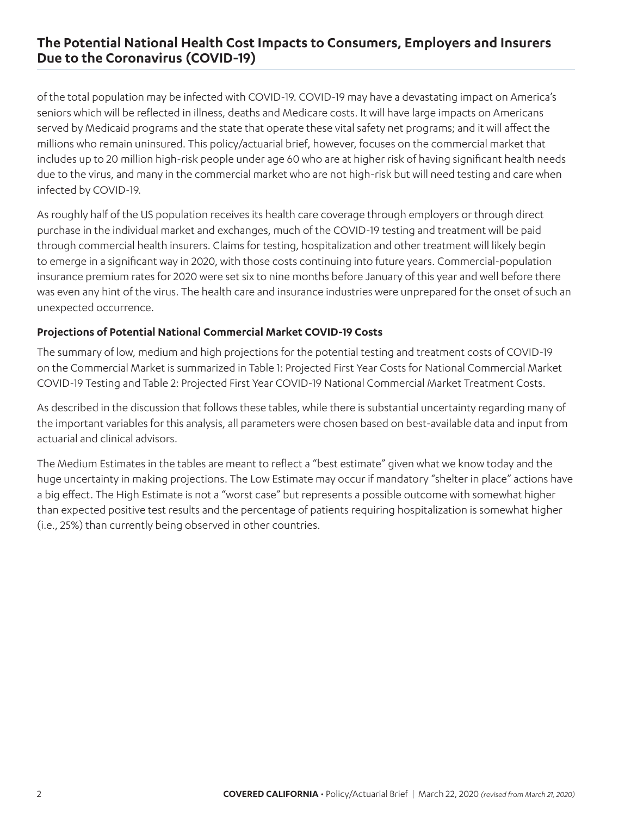of the total population may be infected with COVID-19. COVID-19 may have a devastating impact on America's seniors which will be reflected in illness, deaths and Medicare costs. It will have large impacts on Americans served by Medicaid programs and the state that operate these vital safety net programs; and it will affect the millions who remain uninsured. This policy/actuarial brief, however, focuses on the commercial market that includes up to 20 million high-risk people under age 60 who are at higher risk of having significant health needs due to the virus, and many in the commercial market who are not high-risk but will need testing and care when infected by COVID-19.

As roughly half of the US population receives its health care coverage through employers or through direct purchase in the individual market and exchanges, much of the COVID-19 testing and treatment will be paid through commercial health insurers. Claims for testing, hospitalization and other treatment will likely begin to emerge in a significant way in 2020, with those costs continuing into future years. Commercial-population insurance premium rates for 2020 were set six to nine months before January of this year and well before there was even any hint of the virus. The health care and insurance industries were unprepared for the onset of such an unexpected occurrence.

### **Projections of Potential National Commercial Market COVID-19 Costs**

The summary of low, medium and high projections for the potential testing and treatment costs of COVID-19 on the Commercial Market is summarized in Table 1: Projected First Year Costs for National Commercial Market COVID-19 Testing and Table 2: Projected First Year COVID-19 National Commercial Market Treatment Costs.

As described in the discussion that follows these tables, while there is substantial uncertainty regarding many of the important variables for this analysis, all parameters were chosen based on best-available data and input from actuarial and clinical advisors.

The Medium Estimates in the tables are meant to reflect a "best estimate" given what we know today and the huge uncertainty in making projections. The Low Estimate may occur if mandatory "shelter in place" actions have a big effect. The High Estimate is not a "worst case" but represents a possible outcome with somewhat higher than expected positive test results and the percentage of patients requiring hospitalization is somewhat higher (i.e., 25%) than currently being observed in other countries.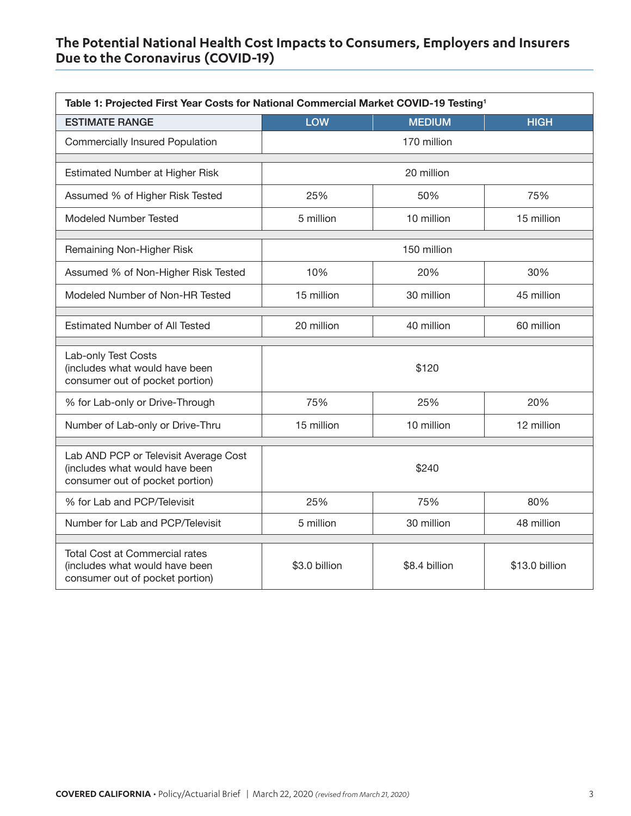<span id="page-2-0"></span>

| Table 1: Projected First Year Costs for National Commercial Market COVID-19 Testing <sup>1</sup>           |               |               |                |  |
|------------------------------------------------------------------------------------------------------------|---------------|---------------|----------------|--|
| <b>ESTIMATE RANGE</b>                                                                                      | <b>LOW</b>    | <b>MEDIUM</b> | <b>HIGH</b>    |  |
| <b>Commercially Insured Population</b>                                                                     |               | 170 million   |                |  |
|                                                                                                            |               |               |                |  |
| <b>Estimated Number at Higher Risk</b>                                                                     | 20 million    |               |                |  |
| Assumed % of Higher Risk Tested                                                                            | 25%           | 50%           | 75%            |  |
| <b>Modeled Number Tested</b>                                                                               | 5 million     | 10 million    | 15 million     |  |
| Remaining Non-Higher Risk                                                                                  | 150 million   |               |                |  |
| Assumed % of Non-Higher Risk Tested                                                                        | 10%           | 20%           | 30%            |  |
| Modeled Number of Non-HR Tested                                                                            | 15 million    | 30 million    | 45 million     |  |
| <b>Estimated Number of All Tested</b>                                                                      | 20 million    | 40 million    | 60 million     |  |
| Lab-only Test Costs<br>(includes what would have been<br>consumer out of pocket portion)                   | \$120         |               |                |  |
| % for Lab-only or Drive-Through                                                                            | 75%           | 25%           | 20%            |  |
| Number of Lab-only or Drive-Thru                                                                           | 15 million    | 10 million    | 12 million     |  |
| Lab AND PCP or Televisit Average Cost<br>(includes what would have been<br>consumer out of pocket portion) | \$240         |               |                |  |
| % for Lab and PCP/Televisit                                                                                | 25%           | 75%           | 80%            |  |
| Number for Lab and PCP/Televisit                                                                           | 5 million     | 30 million    | 48 million     |  |
| <b>Total Cost at Commercial rates</b><br>(includes what would have been<br>consumer out of pocket portion) | \$3.0 billion | \$8.4 billion | \$13.0 billion |  |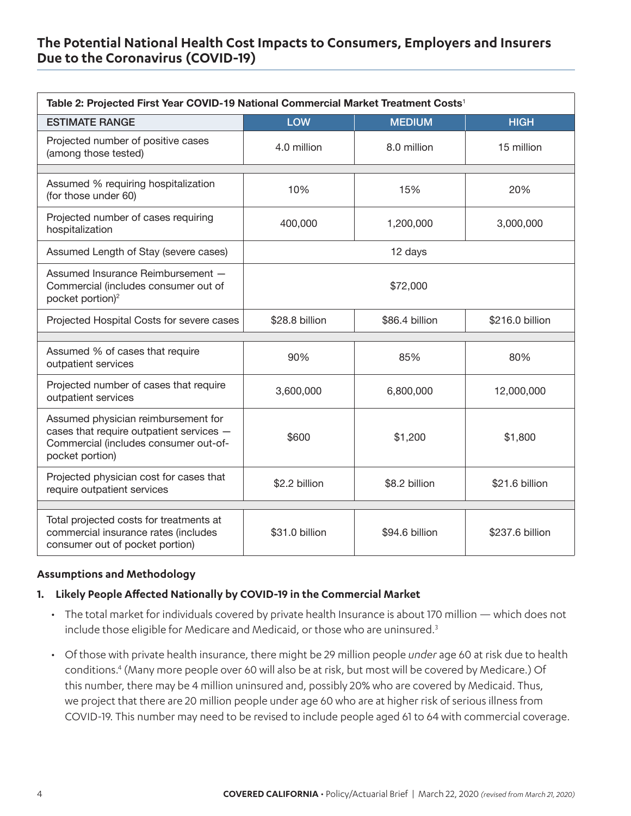<span id="page-3-0"></span>

| Table 2: Projected First Year COVID-19 National Commercial Market Treatment Costs <sup>1</sup>                                              |                |                |                 |  |
|---------------------------------------------------------------------------------------------------------------------------------------------|----------------|----------------|-----------------|--|
| <b>ESTIMATE RANGE</b>                                                                                                                       | <b>LOW</b>     | <b>MEDIUM</b>  | <b>HIGH</b>     |  |
| Projected number of positive cases<br>(among those tested)                                                                                  | 4.0 million    | 8.0 million    | 15 million      |  |
|                                                                                                                                             |                |                |                 |  |
| Assumed % requiring hospitalization<br>(for those under 60)                                                                                 | 10%            | 15%            | 20%             |  |
| Projected number of cases requiring<br>hospitalization                                                                                      | 400,000        | 1,200,000      | 3,000,000       |  |
| Assumed Length of Stay (severe cases)                                                                                                       | 12 days        |                |                 |  |
| Assumed Insurance Reimbursement -<br>Commercial (includes consumer out of<br>pocket portion) <sup>2</sup>                                   | \$72,000       |                |                 |  |
| Projected Hospital Costs for severe cases                                                                                                   | \$28.8 billion | \$86.4 billion | \$216.0 billion |  |
|                                                                                                                                             |                |                |                 |  |
| Assumed % of cases that require<br>outpatient services                                                                                      | 90%            | 85%            | 80%             |  |
| Projected number of cases that require<br>outpatient services                                                                               | 3,600,000      | 6,800,000      | 12,000,000      |  |
| Assumed physician reimbursement for<br>cases that require outpatient services -<br>Commercial (includes consumer out-of-<br>pocket portion) | \$600          | \$1,200        | \$1,800         |  |
| Projected physician cost for cases that<br>require outpatient services                                                                      | \$2.2 billion  | \$8.2 billion  | \$21.6 billion  |  |
|                                                                                                                                             |                |                |                 |  |
| Total projected costs for treatments at<br>commercial insurance rates (includes<br>consumer out of pocket portion)                          | \$31.0 billion | \$94.6 billion | \$237.6 billion |  |

#### **Assumptions and Methodology**

#### **1. Likely People Affected Nationally by COVID-19 in the Commercial Market**

- The total market for individuals covered by private health Insurance is about 170 million which does not include those eligible for Medicare and Medicaid, or those who are uninsured.<sup>3</sup>
- Of those with private health insurance, there might be 29 million people *under* age 60 at risk due to health conditions[.4](#page-7-0) (Many more people over 60 will also be at risk, but most will be covered by Medicare.) Of this number, there may be 4 million uninsured and, possibly 20% who are covered by Medicaid. Thus, we project that there are 20 million people under age 60 who are at higher risk of serious illness from COVID-19. This number may need to be revised to include people aged 61 to 64 with commercial coverage.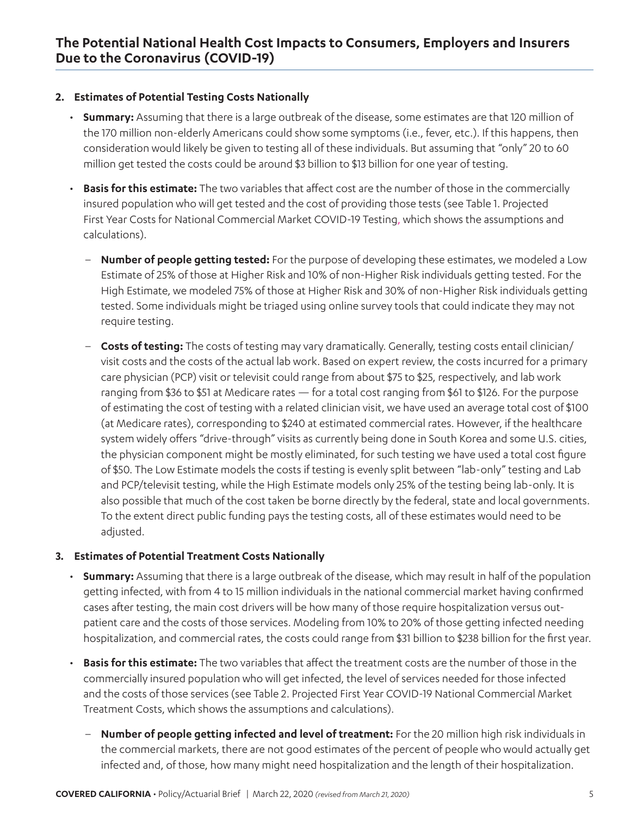### **2. Estimates of Potential Testing Costs Nationally**

- **Summary:** Assuming that there is a large outbreak of the disease, some estimates are that 120 million of the 170 million non-elderly Americans could show some symptoms (i.e., fever, etc.). If this happens, then consideration would likely be given to testing all of these individuals. But assuming that "only" 20 to 60 million get tested the costs could be around \$3 billion to \$13 billion for one year of testing.
- **Basis for this estimate:** The two variables that affect cost are the number of those in the commercially insured population who will get tested and the cost of providing those tests (see Table 1. Projected First Year Costs for National Commercial Market COVID-19 Testing, which shows the assumptions and calculations).
	- **Number of people getting tested:** For the purpose of developing these estimates, we modeled a Low Estimate of 25% of those at Higher Risk and 10% of non-Higher Risk individuals getting tested. For the High Estimate, we modeled 75% of those at Higher Risk and 30% of non-Higher Risk individuals getting tested. Some individuals might be triaged using online survey tools that could indicate they may not require testing.
	- **Costs of testing:** The costs of testing may vary dramatically. Generally, testing costs entail clinician/ visit costs and the costs of the actual lab work. Based on expert review, the costs incurred for a primary care physician (PCP) visit or televisit could range from about \$75 to \$25, respectively, and lab work ranging from \$36 to \$51 at Medicare rates — for a total cost ranging from \$61 to \$126. For the purpose of estimating the cost of testing with a related clinician visit, we have used an average total cost of \$100 (at Medicare rates), corresponding to \$240 at estimated commercial rates. However, if the healthcare system widely offers "drive-through" visits as currently being done in South Korea and some U.S. cities, the physician component might be mostly eliminated, for such testing we have used a total cost figure of \$50. The Low Estimate models the costs if testing is evenly split between "lab-only" testing and Lab and PCP/televisit testing, while the High Estimate models only 25% of the testing being lab-only. It is also possible that much of the cost taken be borne directly by the federal, state and local governments. To the extent direct public funding pays the testing costs, all of these estimates would need to be adjusted.

## **3. Estimates of Potential Treatment Costs Nationally**

- **Summary:** Assuming that there is a large outbreak of the disease, which may result in half of the population getting infected, with from 4 to 15 million individuals in the national commercial market having confirmed cases after testing, the main cost drivers will be how many of those require hospitalization versus outpatient care and the costs of those services. Modeling from 10% to 20% of those getting infected needing hospitalization, and commercial rates, the costs could range from \$31 billion to \$238 billion for the first year.
- **Basis for this estimate:** The two variables that affect the treatment costs are the number of those in the commercially insured population who will get infected, the level of services needed for those infected and the costs of those services (see Table 2. Projected First Year COVID-19 National Commercial Market Treatment Costs, which shows the assumptions and calculations).
	- **Number of people getting infected and level of treatment:** For the 20 million high risk individuals in the commercial markets, there are not good estimates of the percent of people who would actually get infected and, of those, how many might need hospitalization and the length of their hospitalization.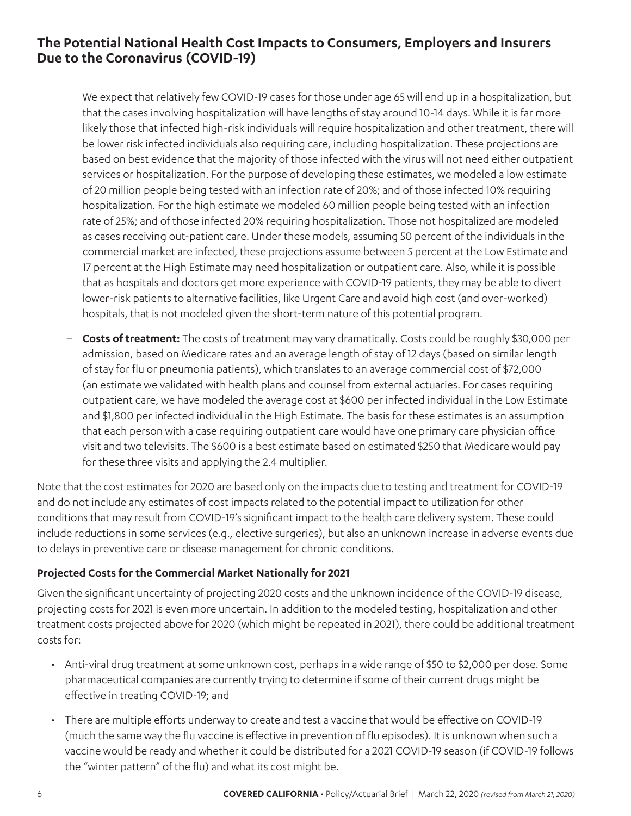We expect that relatively few COVID-19 cases for those under age 65 will end up in a hospitalization, but that the cases involving hospitalization will have lengths of stay around 10-14 days. While it is far more likely those that infected high-risk individuals will require hospitalization and other treatment, there will be lower risk infected individuals also requiring care, including hospitalization. These projections are based on best evidence that the majority of those infected with the virus will not need either outpatient services or hospitalization. For the purpose of developing these estimates, we modeled a low estimate of 20 million people being tested with an infection rate of 20%; and of those infected 10% requiring hospitalization. For the high estimate we modeled 60 million people being tested with an infection rate of 25%; and of those infected 20% requiring hospitalization. Those not hospitalized are modeled as cases receiving out-patient care. Under these models, assuming 50 percent of the individuals in the commercial market are infected, these projections assume between 5 percent at the Low Estimate and 17 percent at the High Estimate may need hospitalization or outpatient care. Also, while it is possible that as hospitals and doctors get more experience with COVID-19 patients, they may be able to divert lower-risk patients to alternative facilities, like Urgent Care and avoid high cost (and over-worked) hospitals, that is not modeled given the short-term nature of this potential program.

– **Costs of treatment:** The costs of treatment may vary dramatically. Costs could be roughly \$30,000 per admission, based on Medicare rates and an average length of stay of 12 days (based on similar length of stay for flu or pneumonia patients), which translates to an average commercial cost of \$72,000 (an estimate we validated with health plans and counsel from external actuaries. For cases requiring outpatient care, we have modeled the average cost at \$600 per infected individual in the Low Estimate and \$1,800 per infected individual in the High Estimate. The basis for these estimates is an assumption that each person with a case requiring outpatient care would have one primary care physician office visit and two televisits. The \$600 is a best estimate based on estimated \$250 that Medicare would pay for these three visits and applying the 2.4 multiplier.

Note that the cost estimates for 2020 are based only on the impacts due to testing and treatment for COVID-19 and do not include any estimates of cost impacts related to the potential impact to utilization for other conditions that may result from COVID-19's significant impact to the health care delivery system. These could include reductions in some services (e.g., elective surgeries), but also an unknown increase in adverse events due to delays in preventive care or disease management for chronic conditions.

## **Projected Costs for the Commercial Market Nationally for 2021**

Given the significant uncertainty of projecting 2020 costs and the unknown incidence of the COVID-19 disease, projecting costs for 2021 is even more uncertain. In addition to the modeled testing, hospitalization and other treatment costs projected above for 2020 (which might be repeated in 2021), there could be additional treatment costs for:

- Anti-viral drug treatment at some unknown cost, perhaps in a wide range of \$50 to \$2,000 per dose. Some pharmaceutical companies are currently trying to determine if some of their current drugs might be effective in treating COVID-19; and
- There are multiple efforts underway to create and test a vaccine that would be effective on COVID-19 (much the same way the flu vaccine is effective in prevention of flu episodes). It is unknown when such a vaccine would be ready and whether it could be distributed for a 2021 COVID-19 season (if COVID-19 follows the "winter pattern" of the flu) and what its cost might be.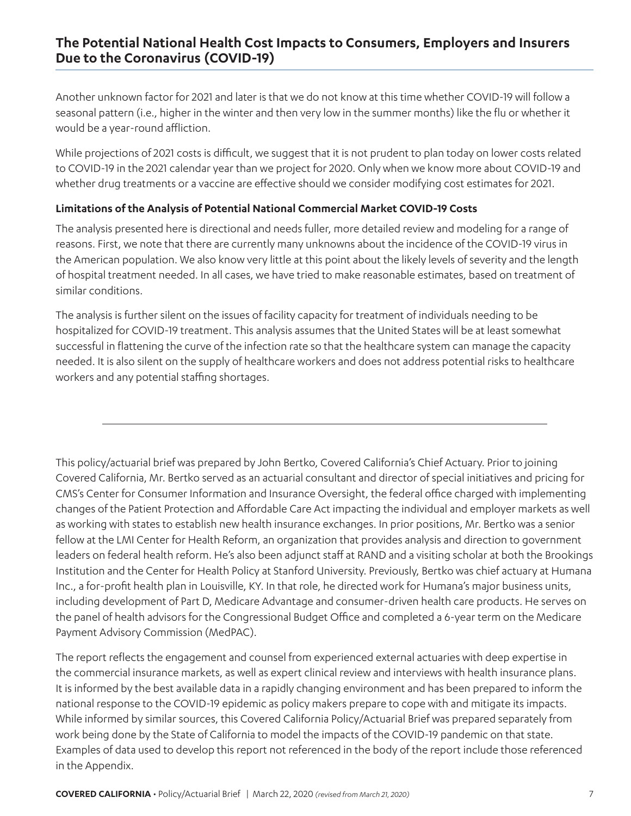Another unknown factor for 2021 and later is that we do not know at this time whether COVID-19 will follow a seasonal pattern (i.e., higher in the winter and then very low in the summer months) like the flu or whether it would be a year-round affliction.

While projections of 2021 costs is difficult, we suggest that it is not prudent to plan today on lower costs related to COVID-19 in the 2021 calendar year than we project for 2020. Only when we know more about COVID-19 and whether drug treatments or a vaccine are effective should we consider modifying cost estimates for 2021.

### **Limitations of the Analysis of Potential National Commercial Market COVID-19 Costs**

The analysis presented here is directional and needs fuller, more detailed review and modeling for a range of reasons. First, we note that there are currently many unknowns about the incidence of the COVID-19 virus in the American population. We also know very little at this point about the likely levels of severity and the length of hospital treatment needed. In all cases, we have tried to make reasonable estimates, based on treatment of similar conditions.

The analysis is further silent on the issues of facility capacity for treatment of individuals needing to be hospitalized for COVID-19 treatment. This analysis assumes that the United States will be at least somewhat successful in flattening the curve of the infection rate so that the healthcare system can manage the capacity needed. It is also silent on the supply of healthcare workers and does not address potential risks to healthcare workers and any potential staffing shortages.

This policy/actuarial brief was prepared by John Bertko, Covered California's Chief Actuary. Prior to joining Covered California, Mr. Bertko served as an actuarial consultant and director of special initiatives and pricing for CMS's Center for Consumer Information and Insurance Oversight, the federal office charged with implementing changes of the Patient Protection and Affordable Care Act impacting the individual and employer markets as well as working with states to establish new health insurance exchanges. In prior positions, Mr. Bertko was a senior fellow at the LMI Center for Health Reform, an organization that provides analysis and direction to government leaders on federal health reform. He's also been adjunct staff at RAND and a visiting scholar at both the Brookings Institution and the Center for Health Policy at Stanford University. Previously, Bertko was chief actuary at Humana Inc., a for-profit health plan in Louisville, KY. In that role, he directed work for Humana's major business units, including development of Part D, Medicare Advantage and consumer-driven health care products. He serves on the panel of health advisors for the Congressional Budget Office and completed a 6-year term on the Medicare Payment Advisory Commission (MedPAC).

The report reflects the engagement and counsel from experienced external actuaries with deep expertise in the commercial insurance markets, as well as expert clinical review and interviews with health insurance plans. It is informed by the best available data in a rapidly changing environment and has been prepared to inform the national response to the COVID-19 epidemic as policy makers prepare to cope with and mitigate its impacts. While informed by similar sources, this Covered California Policy/Actuarial Brief was prepared separately from work being done by the State of California to model the impacts of the COVID-19 pandemic on that state. Examples of data used to develop this report not referenced in the body of the report include those referenced in the Appendix.